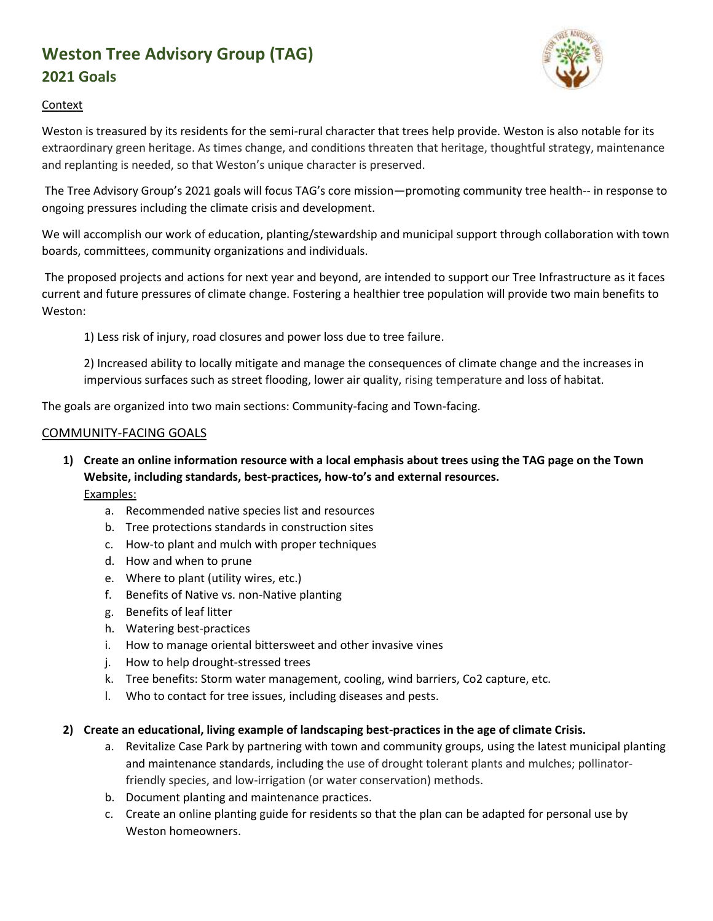# **Weston Tree Advisory Group (TAG) 2021 Goals**



#### Context

Weston is treasured by its residents for the semi-rural character that trees help provide. Weston is also notable for its extraordinary green heritage. As times change, and conditions threaten that heritage, thoughtful strategy, maintenance and replanting is needed, so that Weston's unique character is preserved.

The Tree Advisory Group's 2021 goals will focus TAG's core mission—promoting community tree health-- in response to ongoing pressures including the climate crisis and development.

We will accomplish our work of education, planting/stewardship and municipal support through collaboration with town boards, committees, community organizations and individuals.

The proposed projects and actions for next year and beyond, are intended to support our Tree Infrastructure as it faces current and future pressures of climate change. Fostering a healthier tree population will provide two main benefits to Weston:

1) Less risk of injury, road closures and power loss due to tree failure.

2) Increased ability to locally mitigate and manage the consequences of climate change and the increases in impervious surfaces such as street flooding, lower air quality, rising temperature and loss of habitat.

The goals are organized into two main sections: Community-facing and Town-facing.

#### COMMUNITY-FACING GOALS

- **1) Create an online information resource with a local emphasis about trees using the TAG page on the Town Website, including standards, best-practices, how-to's and external resources.**  Examples:
	- a. Recommended native species list and resources
	- b. Tree protections standards in construction sites
	- c. How-to plant and mulch with proper techniques
	- d. How and when to prune
	- e. Where to plant (utility wires, etc.)
	- f. Benefits of Native vs. non-Native planting
	- g. Benefits of leaf litter
	- h. Watering best-practices
	- i. How to manage oriental bittersweet and other invasive vines
	- j. How to help drought-stressed trees
	- k. Tree benefits: Storm water management, cooling, wind barriers, Co2 capture, etc.
	- l. Who to contact for tree issues, including diseases and pests.

#### **2) Create an educational, living example of landscaping best-practices in the age of climate Crisis.**

- a. Revitalize Case Park by partnering with town and community groups, using the latest municipal planting and maintenance standards, including the use of drought tolerant plants and mulches; pollinatorfriendly species, and low-irrigation (or water conservation) methods.
- b. Document planting and maintenance practices.
- c. Create an online planting guide for residents so that the plan can be adapted for personal use by Weston homeowners.